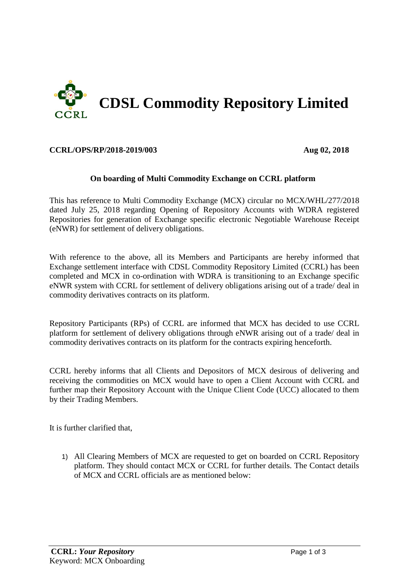

## **CCRL/OPS/RP/2018-2019/003 Aug 02, 2018**

## **On boarding of Multi Commodity Exchange on CCRL platform**

This has reference to Multi Commodity Exchange (MCX) circular no MCX/WHL/277/2018 dated July 25, 2018 regarding Opening of Repository Accounts with WDRA registered Repositories for generation of Exchange specific electronic Negotiable Warehouse Receipt (eNWR) for settlement of delivery obligations.

With reference to the above, all its Members and Participants are hereby informed that Exchange settlement interface with CDSL Commodity Repository Limited (CCRL) has been completed and MCX in co-ordination with WDRA is transitioning to an Exchange specific eNWR system with CCRL for settlement of delivery obligations arising out of a trade/ deal in commodity derivatives contracts on its platform.

Repository Participants (RPs) of CCRL are informed that MCX has decided to use CCRL platform for settlement of delivery obligations through eNWR arising out of a trade/ deal in commodity derivatives contracts on its platform for the contracts expiring henceforth.

CCRL hereby informs that all Clients and Depositors of MCX desirous of delivering and receiving the commodities on MCX would have to open a Client Account with CCRL and further map their Repository Account with the Unique Client Code (UCC) allocated to them by their Trading Members.

It is further clarified that,

1) All Clearing Members of MCX are requested to get on boarded on CCRL Repository platform. They should contact MCX or CCRL for further details. The Contact details of MCX and CCRL officials are as mentioned below: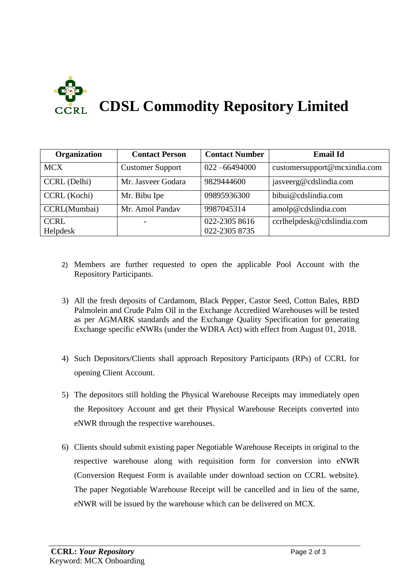

| Organization | <b>Contact Person</b>   | <b>Contact Number</b> | <b>Email Id</b>              |
|--------------|-------------------------|-----------------------|------------------------------|
| <b>MCX</b>   | <b>Customer Support</b> | $022 - 66494000$      | customersupport@mcxindia.com |
| CCRL (Delhi) | Mr. Jasveer Godara      | 9829444600            | jasveerg@cdslindia.com       |
| CCRL (Kochi) | Mr. Bibu Ipe            | 09895936300           | bibui@cdslindia.com          |
| CCRL(Mumbai) | Mr. Amol Pandav         | 9987045314            | amolp@cdslindia.com          |
| <b>CCRL</b>  |                         | 022-2305 8616         | ccrlhelpdesk@cdslindia.com   |
| Helpdesk     |                         | 022-2305 8735         |                              |

- 2) Members are further requested to open the applicable Pool Account with the Repository Participants.
- 3) All the fresh deposits of Cardamom, Black Pepper, Castor Seed, Cotton Bales, RBD Palmolein and Crude Palm Oil in the Exchange Accredited Warehouses will be tested as per AGMARK standards and the Exchange Quality Specification for generating Exchange specific eNWRs (under the WDRA Act) with effect from August 01, 2018.
- 4) Such Depositors/Clients shall approach Repository Participants (RPs) of CCRL for opening Client Account.
- 5) The depositors still holding the Physical Warehouse Receipts may immediately open the Repository Account and get their Physical Warehouse Receipts converted into eNWR through the respective warehouses.
- 6) Clients should submit existing paper Negotiable Warehouse Receipts in original to the respective warehouse along with requisition form for conversion into eNWR (Conversion Request Form is available under download section on CCRL website). The paper Negotiable Warehouse Receipt will be cancelled and in lieu of the same, eNWR will be issued by the warehouse which can be delivered on MCX.